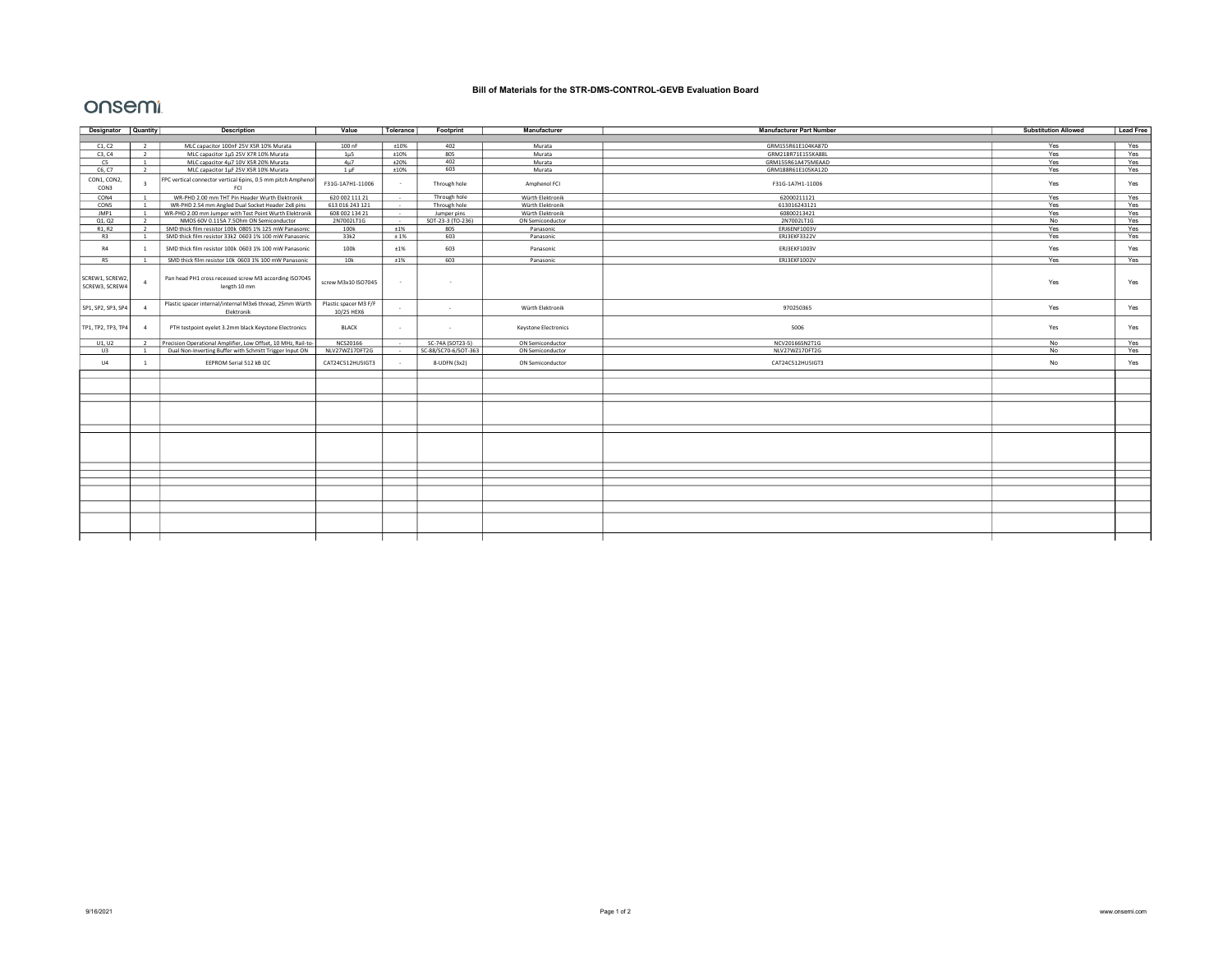## Bill of Materials for the STR-DMS-CONTROL-GEVB Evaluation Board

## onsemi

| Designator Quantity              |                         | <b>Description</b>                                                                             | Value               | Tolerance      | Footprint            | Manufacturer         | <b>Manufacturer Part Number</b> | <b>Substitution Allowed</b> | <b>Lead Free</b> |
|----------------------------------|-------------------------|------------------------------------------------------------------------------------------------|---------------------|----------------|----------------------|----------------------|---------------------------------|-----------------------------|------------------|
|                                  |                         |                                                                                                |                     |                |                      |                      |                                 |                             |                  |
| C1, C2                           | $\overline{2}$          | MLC capacitor 100nF 25V X5R 10% Murata                                                         | 100 nF              | ±10%           | 402                  | Murata               | GRM155R61E104KA87D              | Yes                         | Yes              |
| C3.C4                            | 2                       | MLC capacitor 1µ5 25V X7R 10% Murata                                                           | $1 \mu 5$           | ±10%           | 805                  | Murata               | GRM21BR71E155KA88L              | Yes                         | Yes              |
| C <sub>5</sub>                   |                         | MLC capacitor 4µ7 10V X5R 20% Murata                                                           | 4u7                 | ±20%           | 402                  | Murata               | GRM155R61A475MEAAD              | Yes                         | Yes              |
| C6, C7                           | $\overline{2}$          | MLC capacitor 1uF 25V X5R 10% Murata                                                           | 1 <sub>uF</sub>     | <b>±10%</b>    | 603                  | Murata               | GRM188R61E105KA12D              | Yes                         | Yes              |
| CON1, CON2,<br>CON3              | $\overline{\mathbf{z}}$ | FPC vertical connector vertical 6pins, 0.5 mm pitch Amphenol<br>FCI                            | F31G-1A7H1-11006    | $\sim$         | Through hole         | Amphenol FCI         | F31G-1A7H1-11006                | Yes                         | Yes              |
| CON4                             | $\overline{1}$          | WR-PHD 2.00 mm THT Pin Header Wurth Elektronik                                                 | 620 002 111 21      | $\sim$         | Through hole         | Würth Elektronik     | 62000211121                     | Yes                         | Yes              |
| CON5                             |                         | WR-PHD 2.54 mm Angled Dual Socket Header 2x8 pins                                              | 613 016 243 121     | $\sim$         | Through hole         | Würth Elektronik     | 613016243121                    | Yes                         | Yes              |
| JMP1                             | $\overline{1}$          | WR-PHD 2.00 mm Jumper with Test Point Wurth Elektronik                                         | 608 002 134 21      | $\sim 10^{-1}$ | Jumper pins          | Würth Elektronik     | 60800213421                     | Yes                         | Yes              |
| Q1, Q2                           | $\overline{2}$          | NMOS 60V 0.115A 7.5Ohm ON Semiconductor                                                        | 2N7002LT1G          | $\sim 10^{-1}$ | SOT-23-3 (TO-236)    | ON Semiconductor     | 2N7002LT1G                      | No                          | Yes              |
| R1. R2                           | $\overline{2}$          | SMD thick film resistor 100k 0805 1% 125 mW Panasonic                                          | 100k                | ±1%            | 805                  | Panasonic            | ERJ6ENF1003V                    | Yes                         | Yes              |
| R3                               |                         | SMD thick film resistor 33k2 0603 1% 100 mW Panasonic                                          | 33k2                | $±1\%$         | 603                  | Panasonic            | ERJ3EKF3322V                    | Yes                         | Yes              |
| R4                               | $\overline{1}$          | SMD thick film resistor 100k 0603 1% 100 mW Panasonic                                          | 100k                | ±1%            | 603                  | Panasonic            | ERJ3EKF1003V                    | Yes                         | Yes              |
| R <sub>5</sub>                   |                         | SMD thick film resistor 10k 0603 1% 100 mW Panasonic                                           | 10k                 | ±1%            | 603                  | Panasonic            | ERJ3EKF1002V                    | Yes                         | Yes              |
| SCREW1, SCREW2<br>SCREW3, SCREW4 |                         | Pan head PH1 cross recessed screw M3 according ISO7045<br>length 10 mm                         | screw M3x10 ISO7045 |                |                      |                      |                                 | Yes                         | Yes              |
| SP1, SP2, SP3, SP4               |                         | Plastic spacer internal/internal M3x6 thread, 25mm Würth   Plastic spacer M3 F/F<br>Elektronik | 10/25 HEX6          |                | $\sim$               | Würth Elektronik     | 970250365                       | Yes                         | Yes              |
| TP1, TP2, TP3, TP4               | $\mathbf{A}$            | PTH testpoint eyelet 3.2mm black Keystone Electronics                                          | <b>BLACK</b>        | $\sim$         | $\sim$               | Keystone Electronics | 5006                            | Yes                         | Yes              |
| U1, U2                           |                         | Precision Operational Amplifier, Low Offset, 10 MHz, Rail-to-                                  | NCS20166            | $\sim 10^{-1}$ | SC-74A (SOT23-5)     | ON Semiconductor     | NCV20166SN2T1G                  | No                          | Yes              |
| U3                               | $\overline{1}$          | Dual Non-Inverting Buffer with Schmitt Trigger Input ON                                        | NLV27WZ17DFT2G      | <b>Section</b> | SC-88/SC70-6/SOT-363 | ON Semiconductor     | NLV27WZ17DFT2G                  | No                          | Yes              |
| U4                               |                         | EEPROM Serial 512 kB I2C                                                                       | CAT24C512HU5IGT3    |                | 8-UDFN (3x2)         | ON Semiconductor     | CAT24C512HU5IGT3                | No                          | Yes              |
|                                  |                         |                                                                                                |                     |                |                      |                      |                                 |                             |                  |
|                                  |                         |                                                                                                |                     |                |                      |                      |                                 |                             |                  |
|                                  |                         |                                                                                                |                     |                |                      |                      |                                 |                             |                  |
|                                  |                         |                                                                                                |                     |                |                      |                      |                                 |                             |                  |
|                                  |                         |                                                                                                |                     |                |                      |                      |                                 |                             |                  |
|                                  |                         |                                                                                                |                     |                |                      |                      |                                 |                             |                  |
|                                  |                         |                                                                                                |                     |                |                      |                      |                                 |                             |                  |
|                                  |                         |                                                                                                |                     |                |                      |                      |                                 |                             |                  |
|                                  |                         |                                                                                                |                     |                |                      |                      |                                 |                             |                  |
|                                  |                         |                                                                                                |                     |                |                      |                      |                                 |                             |                  |
|                                  |                         |                                                                                                |                     |                |                      |                      |                                 |                             |                  |
|                                  |                         |                                                                                                |                     |                |                      |                      |                                 |                             |                  |
|                                  |                         |                                                                                                |                     |                |                      |                      |                                 |                             |                  |